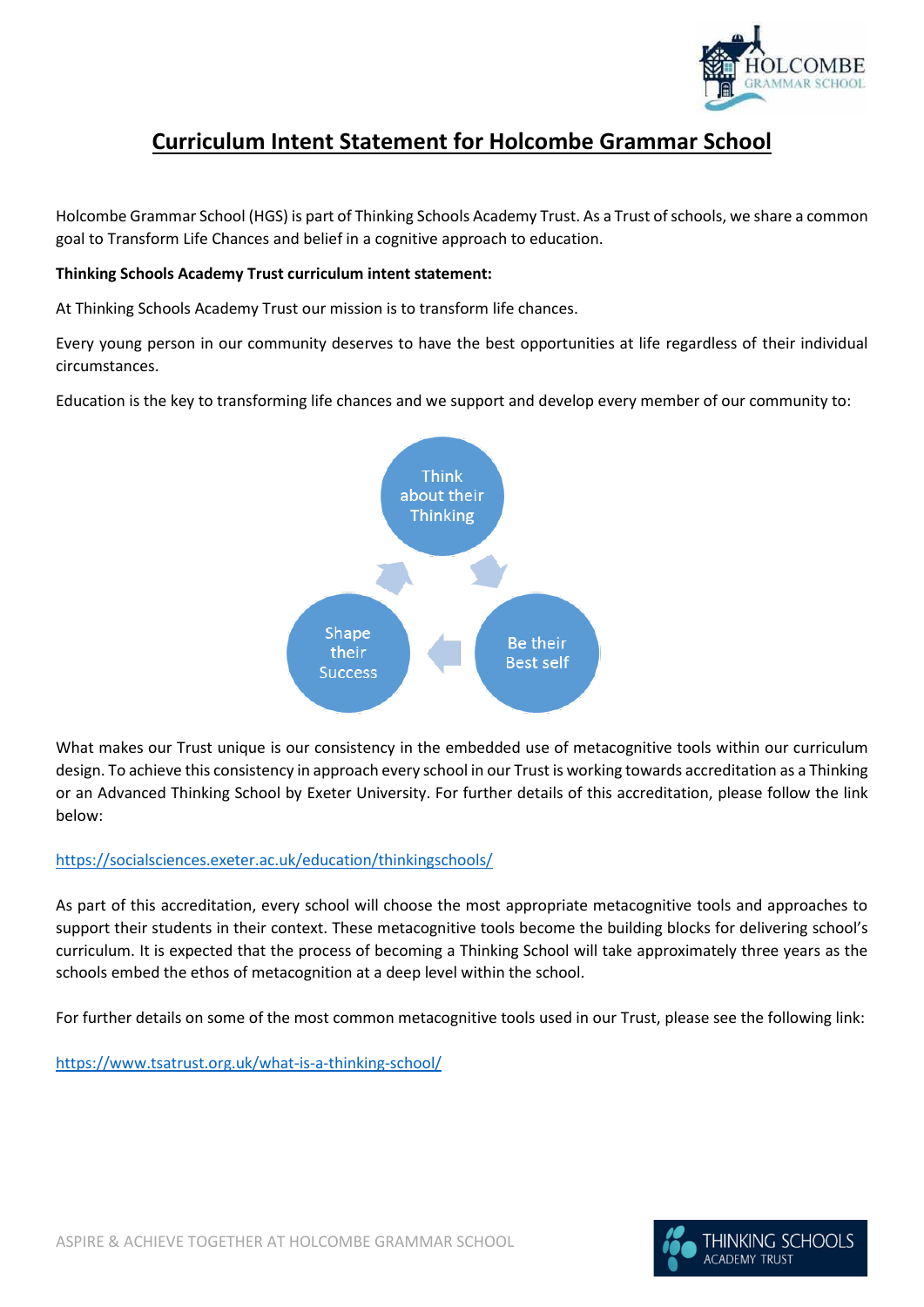

# **Curriculum Intent Statement for Holcombe Grammar School**

Holcombe Grammar School (HGS) is part of Thinking Schools Academy Trust. As a Trust of schools, we share a common goal to Transform Life Chances and belief in a cognitive approach to education.

### **Thinking Schools Academy Trust curriculum intent statement:**

At Thinking Schools Academy Trust our mission is to transform life chances.

Every young person in our community deserves to have the best opportunities at life regardless of their individual circumstances.

Education is the key to transforming life chances and we support and develop every member of our community to:



What makes our Trust unique is our consistency in the embedded use of metacognitive tools within our curriculum design. To achieve this consistency in approach every school in our Trust is working towards accreditation as a Thinking or an Advanced Thinking School by Exeter University. For further details of this accreditation, please follow the link below:

### <https://socialsciences.exeter.ac.uk/education/thinkingschools/>

As part of this accreditation, every school will choose the most appropriate metacognitive tools and approaches to support their students in their context. These metacognitive tools become the building blocks for delivering school's curriculum. It is expected that the process of becoming a Thinking School will take approximately three years as the schools embed the ethos of metacognition at a deep level within the school.

For further details on some of the most common metacognitive tools used in our Trust, please see the following link:

<https://www.tsatrust.org.uk/what-is-a-thinking-school/>

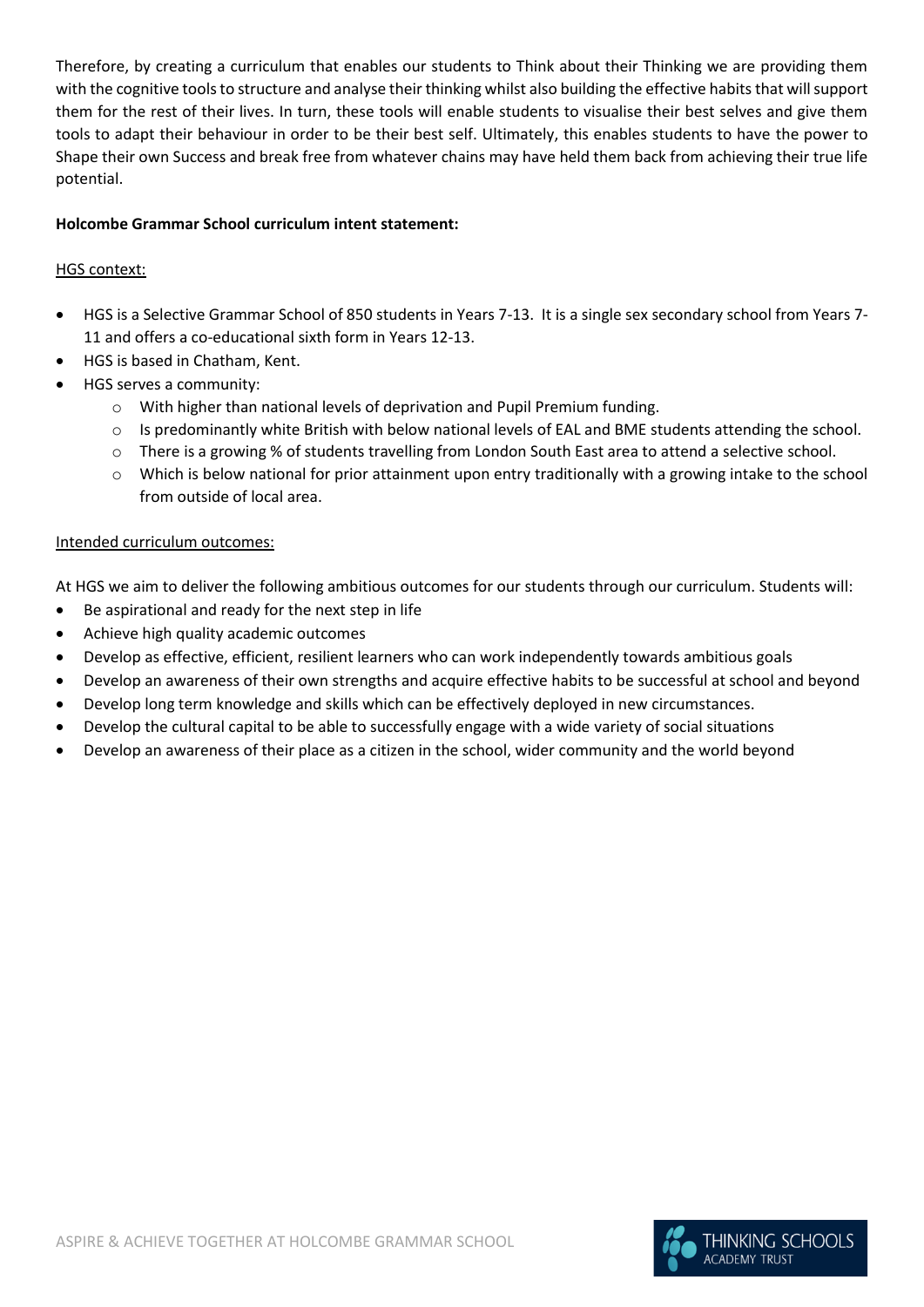Therefore, by creating a curriculum that enables our students to Think about their Thinking we are providing them with the cognitive tools to structure and analyse their thinking whilst also building the effective habits that will support them for the rest of their lives. In turn, these tools will enable students to visualise their best selves and give them tools to adapt their behaviour in order to be their best self. Ultimately, this enables students to have the power to Shape their own Success and break free from whatever chains may have held them back from achieving their true life potential.

### **Holcombe Grammar School curriculum intent statement:**

### HGS context:

- HGS is a Selective Grammar School of 850 students in Years 7-13. It is a single sex secondary school from Years 7- 11 and offers a co-educational sixth form in Years 12-13.
- HGS is based in Chatham, Kent.
- HGS serves a community:
	- o With higher than national levels of deprivation and Pupil Premium funding.
	- $\circ$  Is predominantly white British with below national levels of EAL and BME students attending the school.
	- o There is a growing % of students travelling from London South East area to attend a selective school.
	- $\circ$  Which is below national for prior attainment upon entry traditionally with a growing intake to the school from outside of local area.

### Intended curriculum outcomes:

At HGS we aim to deliver the following ambitious outcomes for our students through our curriculum. Students will:

- Be aspirational and ready for the next step in life
- Achieve high quality academic outcomes
- Develop as effective, efficient, resilient learners who can work independently towards ambitious goals
- Develop an awareness of their own strengths and acquire effective habits to be successful at school and beyond
- Develop long term knowledge and skills which can be effectively deployed in new circumstances.
- Develop the cultural capital to be able to successfully engage with a wide variety of social situations
- Develop an awareness of their place as a citizen in the school, wider community and the world beyond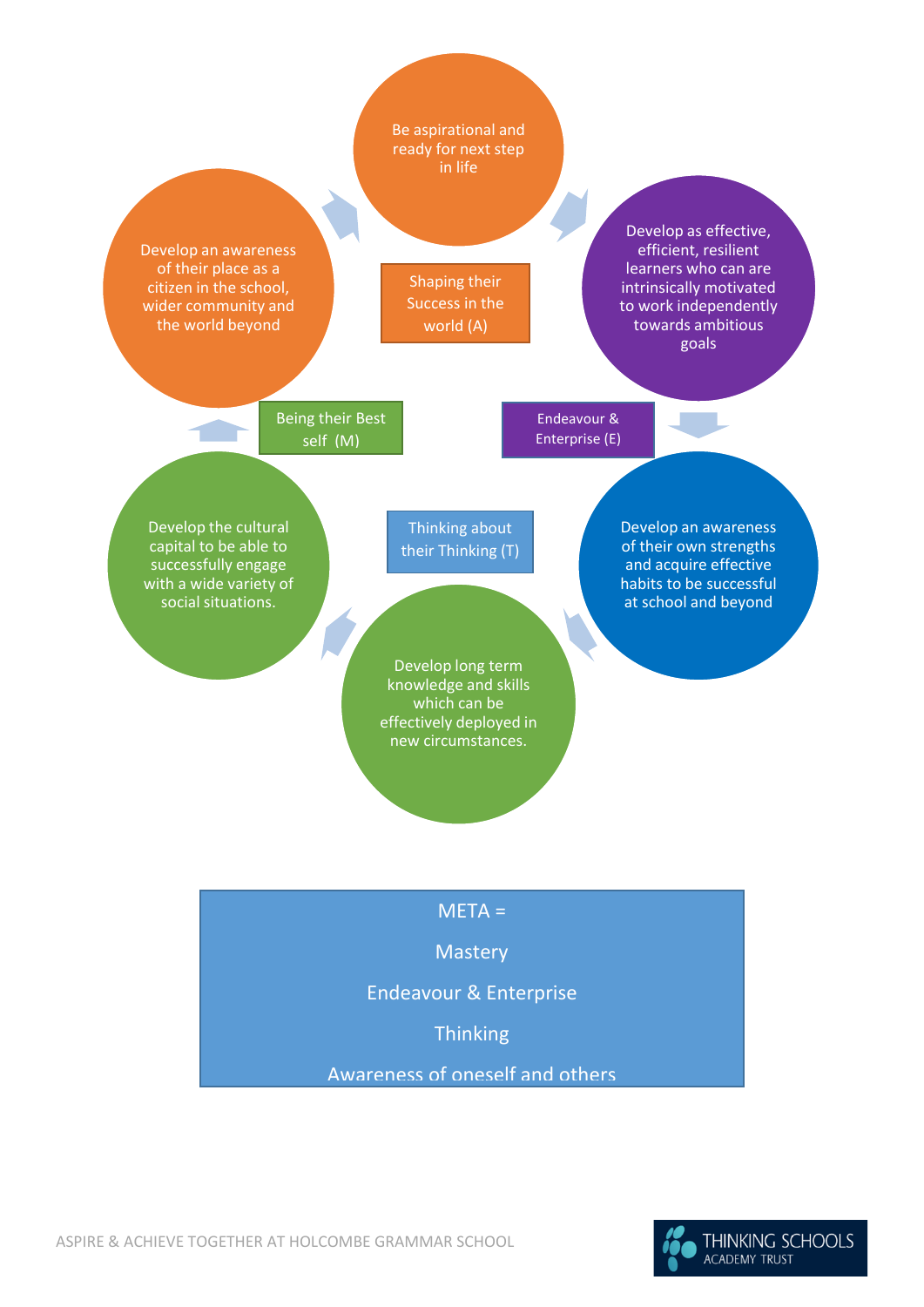

Awareness of oneself and others

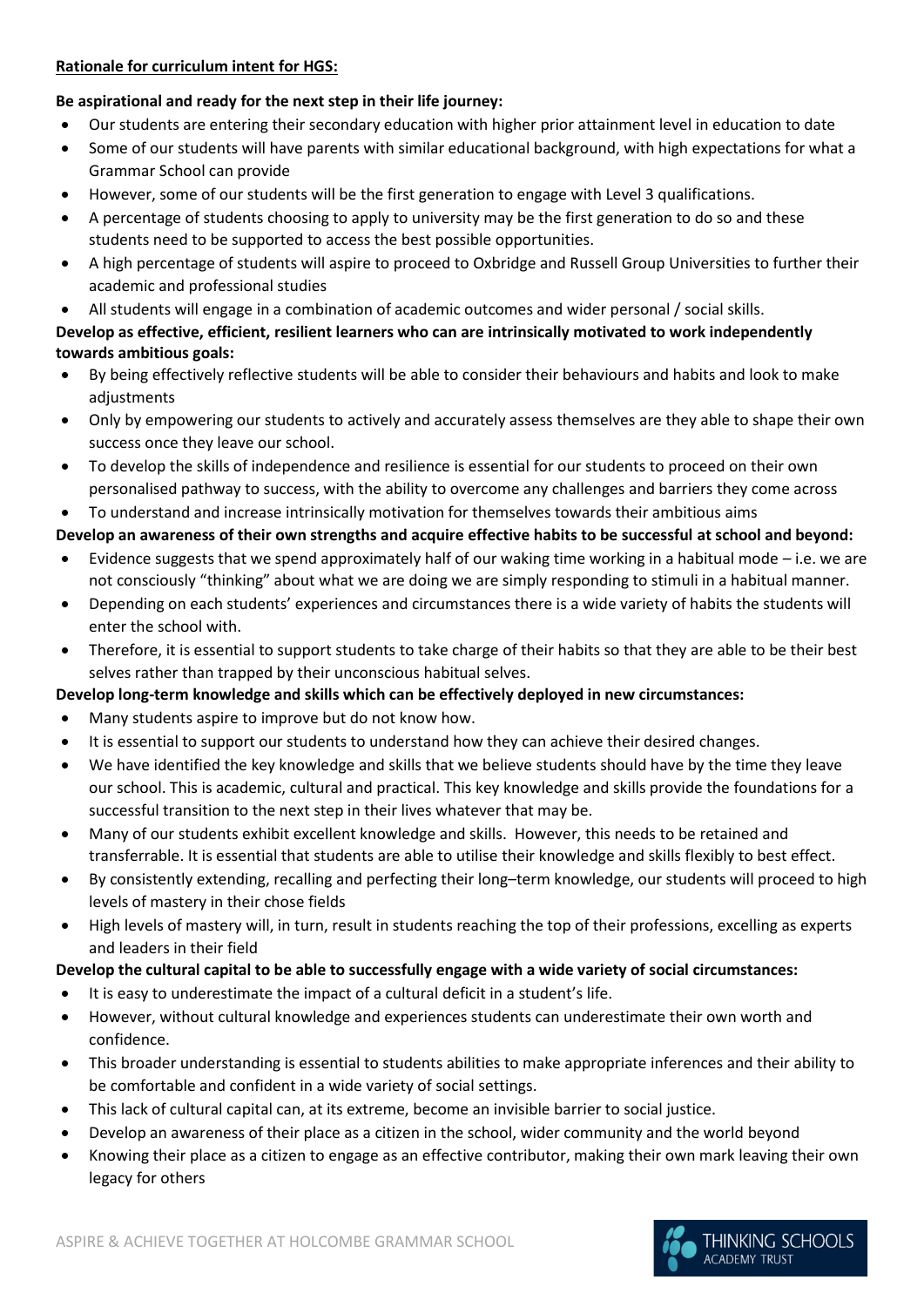### **Rationale for curriculum intent for HGS:**

### **Be aspirational and ready for the next step in their life journey:**

- Our students are entering their secondary education with higher prior attainment level in education to date
- Some of our students will have parents with similar educational background, with high expectations for what a Grammar School can provide
- However, some of our students will be the first generation to engage with Level 3 qualifications.
- A percentage of students choosing to apply to university may be the first generation to do so and these students need to be supported to access the best possible opportunities.
- A high percentage of students will aspire to proceed to Oxbridge and Russell Group Universities to further their academic and professional studies
- All students will engage in a combination of academic outcomes and wider personal / social skills.

### **Develop as effective, efficient, resilient learners who can are intrinsically motivated to work independently towards ambitious goals:**

- By being effectively reflective students will be able to consider their behaviours and habits and look to make adjustments
- Only by empowering our students to actively and accurately assess themselves are they able to shape their own success once they leave our school.
- To develop the skills of independence and resilience is essential for our students to proceed on their own personalised pathway to success, with the ability to overcome any challenges and barriers they come across

• To understand and increase intrinsically motivation for themselves towards their ambitious aims

### **Develop an awareness of their own strengths and acquire effective habits to be successful at school and beyond:**

- Evidence suggests that we spend approximately half of our waking time working in a habitual mode i.e. we are not consciously "thinking" about what we are doing we are simply responding to stimuli in a habitual manner.
- Depending on each students' experiences and circumstances there is a wide variety of habits the students will enter the school with.
- Therefore, it is essential to support students to take charge of their habits so that they are able to be their best selves rather than trapped by their unconscious habitual selves.

# **Develop long-term knowledge and skills which can be effectively deployed in new circumstances:**

- Many students aspire to improve but do not know how.
- It is essential to support our students to understand how they can achieve their desired changes.
- We have identified the key knowledge and skills that we believe students should have by the time they leave our school. This is academic, cultural and practical. This key knowledge and skills provide the foundations for a successful transition to the next step in their lives whatever that may be.
- Many of our students exhibit excellent knowledge and skills. However, this needs to be retained and transferrable. It is essential that students are able to utilise their knowledge and skills flexibly to best effect.
- By consistently extending, recalling and perfecting their long–term knowledge, our students will proceed to high levels of mastery in their chose fields
- High levels of mastery will, in turn, result in students reaching the top of their professions, excelling as experts and leaders in their field

# **Develop the cultural capital to be able to successfully engage with a wide variety of social circumstances:**

- It is easy to underestimate the impact of a cultural deficit in a student's life.
- However, without cultural knowledge and experiences students can underestimate their own worth and confidence.
- This broader understanding is essential to students abilities to make appropriate inferences and their ability to be comfortable and confident in a wide variety of social settings.
- This lack of cultural capital can, at its extreme, become an invisible barrier to social justice.
- Develop an awareness of their place as a citizen in the school, wider community and the world beyond
- Knowing their place as a citizen to engage as an effective contributor, making their own mark leaving their own legacy for others